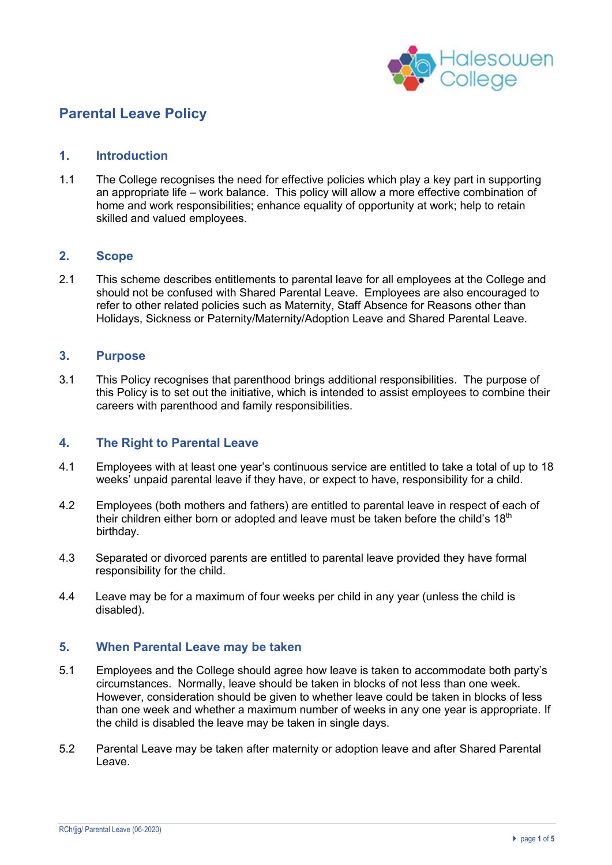

# **Parental Leave Policy**

#### **1. Introduction**

1.1 The College recognises the need for effective policies which play a key part in supporting an appropriate life – work balance. This policy will allow a more effective combination of home and work responsibilities; enhance equality of opportunity at work; help to retain skilled and valued employees.

## **2. Scope**

2.1 This scheme describes entitlements to parental leave for all employees at the College and should not be confused with Shared Parental Leave. Employees are also encouraged to refer to other related policies such as Maternity, Staff Absence for Reasons other than Holidays, Sickness or Paternity/Maternity/Adoption Leave and Shared Parental Leave.

#### **3. Purpose**

3.1 This Policy recognises that parenthood brings additional responsibilities. The purpose of this Policy is to set out the initiative, which is intended to assist employees to combine their careers with parenthood and family responsibilities.

## **4. The Right to Parental Leave**

- 4.1 Employees with at least one year's continuous service are entitled to take a total of up to 18 weeks' unpaid parental leave if they have, or expect to have, responsibility for a child.
- 4.2 Employees (both mothers and fathers) are entitled to parental leave in respect of each of their children either born or adopted and leave must be taken before the child's 18<sup>th</sup> birthday.
- 4.3 Separated or divorced parents are entitled to parental leave provided they have formal responsibility for the child.
- 4.4 Leave may be for a maximum of four weeks per child in any year (unless the child is disabled).

## **5. When Parental Leave may be taken**

- 5.1 Employees and the College should agree how leave is taken to accommodate both party's circumstances. Normally, leave should be taken in blocks of not less than one week. However, consideration should be given to whether leave could be taken in blocks of less than one week and whether a maximum number of weeks in any one year is appropriate. If the child is disabled the leave may be taken in single days.
- 5.2 Parental Leave may be taken after maternity or adoption leave and after Shared Parental Leave.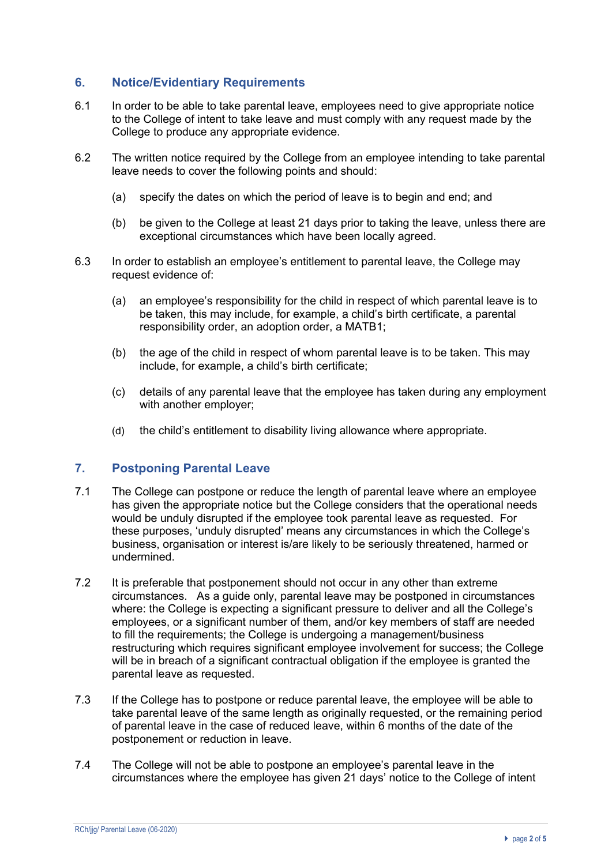## **6. Notice/Evidentiary Requirements**

- 6.1 In order to be able to take parental leave, employees need to give appropriate notice to the College of intent to take leave and must comply with any request made by the College to produce any appropriate evidence.
- 6.2 The written notice required by the College from an employee intending to take parental leave needs to cover the following points and should:
	- (a) specify the dates on which the period of leave is to begin and end; and
	- (b) be given to the College at least 21 days prior to taking the leave, unless there are exceptional circumstances which have been locally agreed.
- 6.3 In order to establish an employee's entitlement to parental leave, the College may request evidence of:
	- (a) an employee's responsibility for the child in respect of which parental leave is to be taken, this may include, for example, a child's birth certificate, a parental responsibility order, an adoption order, a MATB1;
	- (b) the age of the child in respect of whom parental leave is to be taken. This may include, for example, a child's birth certificate;
	- (c) details of any parental leave that the employee has taken during any employment with another employer;
	- (d) the child's entitlement to disability living allowance where appropriate.

## **7. Postponing Parental Leave**

- 7.1 The College can postpone or reduce the length of parental leave where an employee has given the appropriate notice but the College considers that the operational needs would be unduly disrupted if the employee took parental leave as requested. For these purposes, 'unduly disrupted' means any circumstances in which the College's business, organisation or interest is/are likely to be seriously threatened, harmed or undermined.
- 7.2 It is preferable that postponement should not occur in any other than extreme circumstances. As a guide only, parental leave may be postponed in circumstances where: the College is expecting a significant pressure to deliver and all the College's employees, or a significant number of them, and/or key members of staff are needed to fill the requirements; the College is undergoing a management/business restructuring which requires significant employee involvement for success; the College will be in breach of a significant contractual obligation if the employee is granted the parental leave as requested.
- 7.3 If the College has to postpone or reduce parental leave, the employee will be able to take parental leave of the same length as originally requested, or the remaining period of parental leave in the case of reduced leave, within 6 months of the date of the postponement or reduction in leave.
- 7.4 The College will not be able to postpone an employee's parental leave in the circumstances where the employee has given 21 days' notice to the College of intent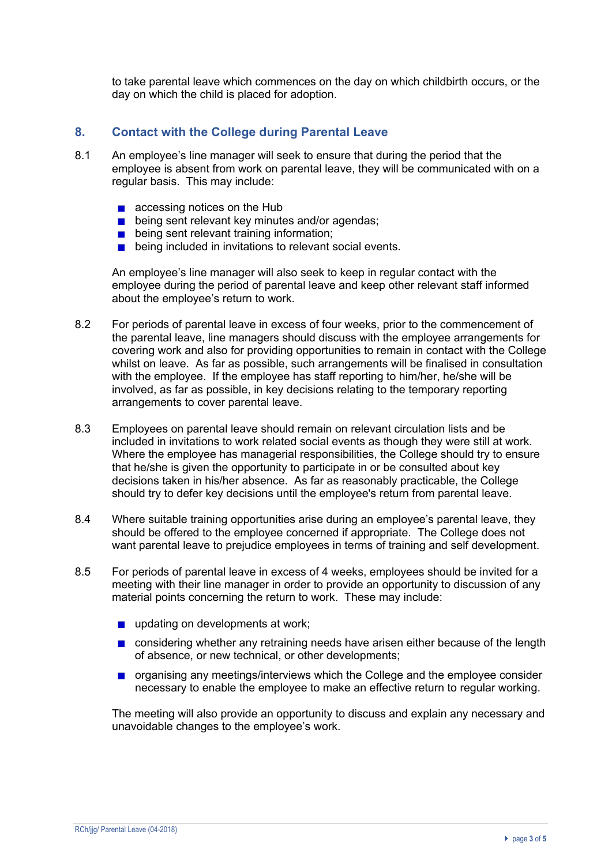to take parental leave which commences on the day on which childbirth occurs, or the day on which the child is placed for adoption.

## **8. Contact with the College during Parental Leave**

- 8.1 An employee's line manager will seek to ensure that during the period that the employee is absent from work on parental leave, they will be communicated with on a regular basis. This may include:
	- accessing notices on the Hub
	- **being sent relevant key minutes and/or agendas;**
	- **being sent relevant training information;**
	- **being included in invitations to relevant social events.**

An employee's line manager will also seek to keep in regular contact with the employee during the period of parental leave and keep other relevant staff informed about the employee's return to work.

- 8.2 For periods of parental leave in excess of four weeks, prior to the commencement of the parental leave, line managers should discuss with the employee arrangements for covering work and also for providing opportunities to remain in contact with the College whilst on leave. As far as possible, such arrangements will be finalised in consultation with the employee. If the employee has staff reporting to him/her, he/she will be involved, as far as possible, in key decisions relating to the temporary reporting arrangements to cover parental leave.
- 8.3 Employees on parental leave should remain on relevant circulation lists and be included in invitations to work related social events as though they were still at work. Where the employee has managerial responsibilities, the College should try to ensure that he/she is given the opportunity to participate in or be consulted about key decisions taken in his/her absence. As far as reasonably practicable, the College should try to defer key decisions until the employee's return from parental leave.
- 8.4 Where suitable training opportunities arise during an employee's parental leave, they should be offered to the employee concerned if appropriate. The College does not want parental leave to prejudice employees in terms of training and self development.
- 8.5 For periods of parental leave in excess of 4 weeks, employees should be invited for a meeting with their line manager in order to provide an opportunity to discussion of any material points concerning the return to work. These may include:
	- updating on developments at work;
	- **n** considering whether any retraining needs have arisen either because of the length of absence, or new technical, or other developments;
	- **n** organising any meetings/interviews which the College and the employee consider necessary to enable the employee to make an effective return to regular working.

The meeting will also provide an opportunity to discuss and explain any necessary and unavoidable changes to the employee's work.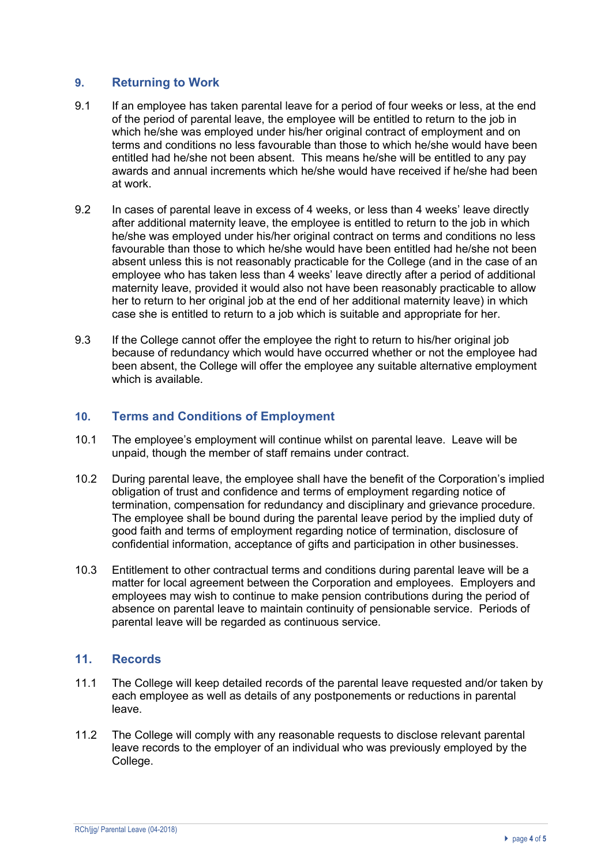## **9. Returning to Work**

- 9.1 If an employee has taken parental leave for a period of four weeks or less, at the end of the period of parental leave, the employee will be entitled to return to the job in which he/she was employed under his/her original contract of employment and on terms and conditions no less favourable than those to which he/she would have been entitled had he/she not been absent. This means he/she will be entitled to any pay awards and annual increments which he/she would have received if he/she had been at work.
- 9.2 In cases of parental leave in excess of 4 weeks, or less than 4 weeks' leave directly after additional maternity leave, the employee is entitled to return to the job in which he/she was employed under his/her original contract on terms and conditions no less favourable than those to which he/she would have been entitled had he/she not been absent unless this is not reasonably practicable for the College (and in the case of an employee who has taken less than 4 weeks' leave directly after a period of additional maternity leave, provided it would also not have been reasonably practicable to allow her to return to her original job at the end of her additional maternity leave) in which case she is entitled to return to a job which is suitable and appropriate for her.
- 9.3 If the College cannot offer the employee the right to return to his/her original job because of redundancy which would have occurred whether or not the employee had been absent, the College will offer the employee any suitable alternative employment which is available.

## **10. Terms and Conditions of Employment**

- 10.1 The employee's employment will continue whilst on parental leave. Leave will be unpaid, though the member of staff remains under contract.
- 10.2 During parental leave, the employee shall have the benefit of the Corporation's implied obligation of trust and confidence and terms of employment regarding notice of termination, compensation for redundancy and disciplinary and grievance procedure. The employee shall be bound during the parental leave period by the implied duty of good faith and terms of employment regarding notice of termination, disclosure of confidential information, acceptance of gifts and participation in other businesses.
- 10.3 Entitlement to other contractual terms and conditions during parental leave will be a matter for local agreement between the Corporation and employees. Employers and employees may wish to continue to make pension contributions during the period of absence on parental leave to maintain continuity of pensionable service. Periods of parental leave will be regarded as continuous service.

## **11. Records**

- 11.1 The College will keep detailed records of the parental leave requested and/or taken by each employee as well as details of any postponements or reductions in parental leave.
- 11.2 The College will comply with any reasonable requests to disclose relevant parental leave records to the employer of an individual who was previously employed by the College.